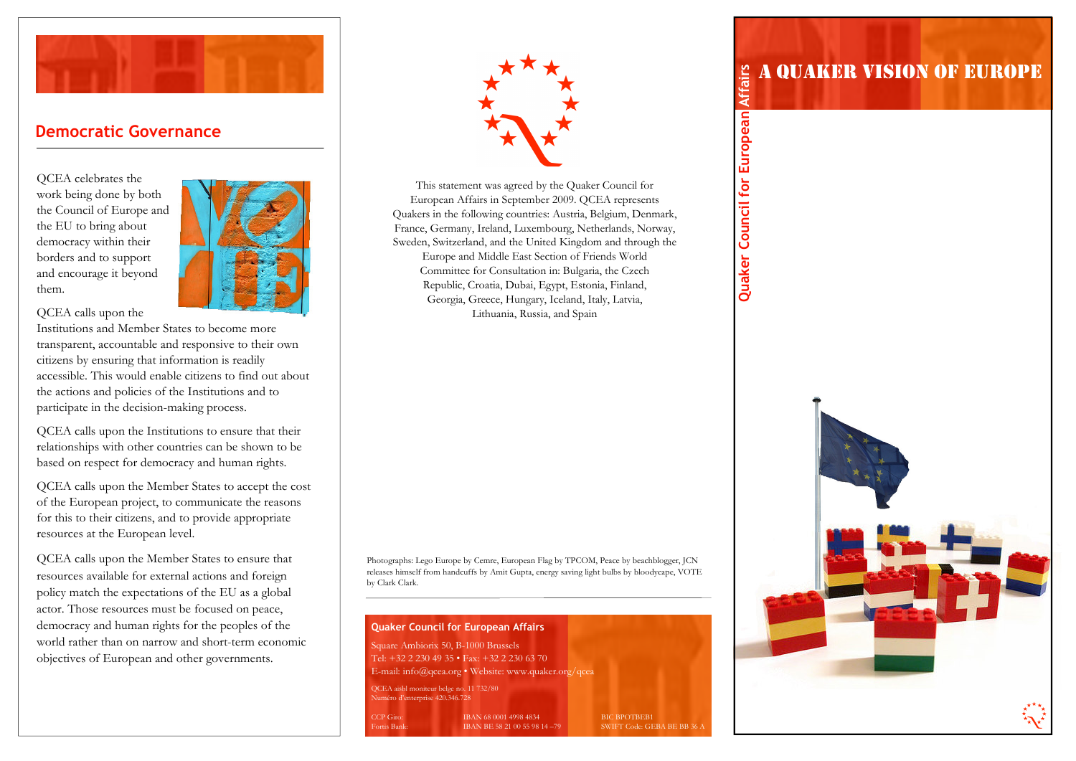

## Democratic Governance

QCEA celebrates the work being done by both the Council of Europe and the EU to bring about democracy within their borders and to support and encourage it beyond them.



QCEA calls upon the

Institutions and Member States to become more transparent, accountable and responsive to their own citizens by ensuring that information is readily accessible. This would enable citizens to find out about the actions and policies of the Institutions and toparticipate in the decision-making process.

QCEA calls upon the Institutions to ensure that their relationships with other countries can be shown to be based on respect for democracy and human rights.

QCEA calls upon the Member States to accept the cost of the European project, to communicate the reasonsfor this to their citizens, and to provide appropriate resources at the European level.

QCEA calls upon the Member States to ensure that resources available for external actions and foreign policy match the expectations of the EU as a global actor. Those resources must be focused on peace, democracy and human rights for the peoples of the world rather than on narrow and short-term economicobjectives of European and other governments.



This statement was agreed by the Quaker Council for European Affairs in September 2009. QCEA represents Quakers in the following countries: Austria, Belgium, Denmark, France, Germany, Ireland, Luxembourg, Netherlands, Norway, Sweden, Switzerland, and the United Kingdom and through the Europe and Middle East Section of Friends World Committee for Consultation in: Bulgaria, the Czech Republic, Croatia, Dubai, Egypt, Estonia, Finland, Georgia, Greece, Hungary, Iceland, Italy, Latvia, Lithuania, Russia, and Spain

Photographs: Lego Europe by Cemre, European Flag by TPCOM, Peace by beachblogger, JCN releases himself from handcuffs by Amit Gupta, energy saving light bulbs by bloodycape, VOTE by Clark Clark.



# A QUAKER VISION OF EUROPE

Quaker Council for European Affairs Quaker Council for European Affairs